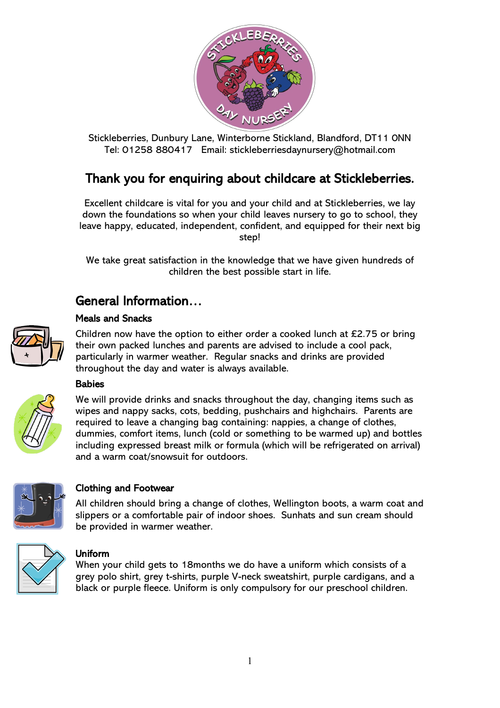

Stickleberries, Dunbury Lane, Winterborne Stickland, Blandford, DT11 0NN Tel: 01258 880417 Email: stickleberriesdaynursery@hotmail.com

### Thank you for enquiring about childcare at Stickleberries.

Excellent childcare is vital for you and your child and at Stickleberries, we lay down the foundations so when your child leaves nursery to go to school, they leave happy, educated, independent, confident, and equipped for their next big step!

We take great satisfaction in the knowledge that we have given hundreds of children the best possible start in life.

### General Information…

### Meals and Snacks



Children now have the option to either order a cooked lunch at £2.75 or bring their own packed lunches and parents are advised to include a cool pack, particularly in warmer weather. Regular snacks and drinks are provided throughout the day and water is always available.

### **Babies**



We will provide drinks and snacks throughout the day, changing items such as wipes and nappy sacks, cots, bedding, pushchairs and highchairs. Parents are required to leave a changing bag containing: nappies, a change of clothes, dummies, comfort items, lunch (cold or something to be warmed up) and bottles including expressed breast milk or formula (which will be refrigerated on arrival) and a warm coat/snowsuit for outdoors.



### Clothing and Footwear

All children should bring a change of clothes, Wellington boots, a warm coat and slippers or a comfortable pair of indoor shoes. Sunhats and sun cream should be provided in warmer weather.



### Uniform

When your child gets to 18months we do have a uniform which consists of a grey polo shirt, grey t-shirts, purple V-neck sweatshirt, purple cardigans, and a black or purple fleece. Uniform is only compulsory for our preschool children.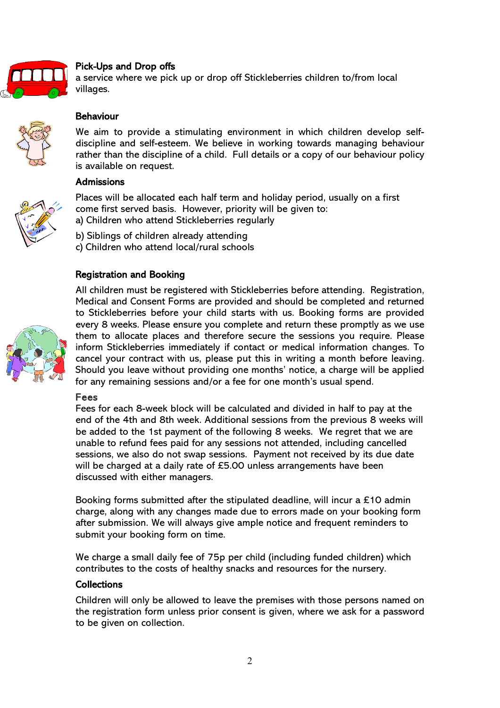

### Pick-Ups and Drop offs

a service where we pick up or drop off Stickleberries children to/from local villages.

# Behaviour

We aim to provide a stimulating environment in which children develop selfdiscipline and self-esteem. We believe in working towards managing behaviour rather than the discipline of a child. Full details or a copy of our behaviour policy is available on request.

### **Admissions**



Places will be allocated each half term and holiday period, usually on a first come first served basis. However, priority will be given to: a) Children who attend Stickleberries regularly

- b) Siblings of children already attending
- c) Children who attend local/rural schools

### Registration and Booking



All children must be registered with Stickleberries before attending. Registration, Medical and Consent Forms are provided and should be completed and returned to Stickleberries before your child starts with us. Booking forms are provided every 8 weeks. Please ensure you complete and return these promptly as we use them to allocate places and therefore secure the sessions you require. Please inform Stickleberries immediately if contact or medical information changes. To cancel your contract with us, please put this in writing a month before leaving. Should you leave without providing one months' notice, a charge will be applied for any remaining sessions and/or a fee for one month's usual spend.

### Fees

Fees for each 8-week block will be calculated and divided in half to pay at the end of the 4th and 8th week. Additional sessions from the previous 8 weeks will be added to the 1st payment of the following 8 weeks. We regret that we are unable to refund fees paid for any sessions not attended, including cancelled sessions, we also do not swap sessions. Payment not received by its due date will be charged at a daily rate of £5.00 unless arrangements have been discussed with either managers.

Booking forms submitted after the stipulated deadline, will incur a £10 admin charge, along with any changes made due to errors made on your booking form after submission. We will always give ample notice and frequent reminders to submit your booking form on time.

We charge a small daily fee of 75p per child (including funded children) which contributes to the costs of healthy snacks and resources for the nursery.

### **Collections**

Children will only be allowed to leave the premises with those persons named on the registration form unless prior consent is given, where we ask for a password to be given on collection.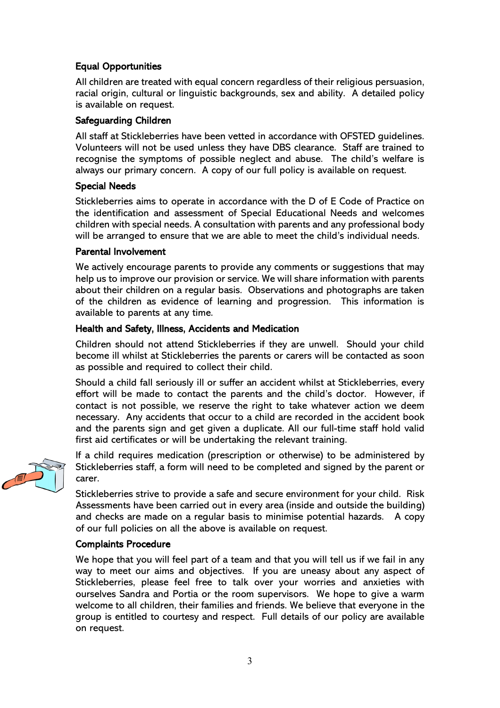### Equal Opportunities

All children are treated with equal concern regardless of their religious persuasion, racial origin, cultural or linguistic backgrounds, sex and ability. A detailed policy is available on request.

### Safeguarding Children

All staff at Stickleberries have been vetted in accordance with OFSTED guidelines. Volunteers will not be used unless they have DBS clearance. Staff are trained to recognise the symptoms of possible neglect and abuse. The child's welfare is always our primary concern. A copy of our full policy is available on request.

### Special Needs

Stickleberries aims to operate in accordance with the D of E Code of Practice on the identification and assessment of Special Educational Needs and welcomes children with special needs. A consultation with parents and any professional body will be arranged to ensure that we are able to meet the child's individual needs.

### Parental Involvement

We actively encourage parents to provide any comments or suggestions that may help us to improve our provision or service. We will share information with parents about their children on a regular basis. Observations and photographs are taken of the children as evidence of learning and progression. This information is available to parents at any time.

### Health and Safety, Illness, Accidents and Medication

Children should not attend Stickleberries if they are unwell. Should your child become ill whilst at Stickleberries the parents or carers will be contacted as soon as possible and required to collect their child.

Should a child fall seriously ill or suffer an accident whilst at Stickleberries, every effort will be made to contact the parents and the child's doctor. However, if contact is not possible, we reserve the right to take whatever action we deem necessary. Any accidents that occur to a child are recorded in the accident book and the parents sign and get given a duplicate. All our full-time staff hold valid first aid certificates or will be undertaking the relevant training.



If a child requires medication (prescription or otherwise) to be administered by Stickleberries staff, a form will need to be completed and signed by the parent or carer.

Stickleberries strive to provide a safe and secure environment for your child. Risk Assessments have been carried out in every area (inside and outside the building) and checks are made on a regular basis to minimise potential hazards. A copy of our full policies on all the above is available on request.

### Complaints Procedure

We hope that you will feel part of a team and that you will tell us if we fail in any way to meet our aims and objectives. If you are uneasy about any aspect of Stickleberries, please feel free to talk over your worries and anxieties with ourselves Sandra and Portia or the room supervisors. We hope to give a warm welcome to all children, their families and friends. We believe that everyone in the group is entitled to courtesy and respect. Full details of our policy are available on request.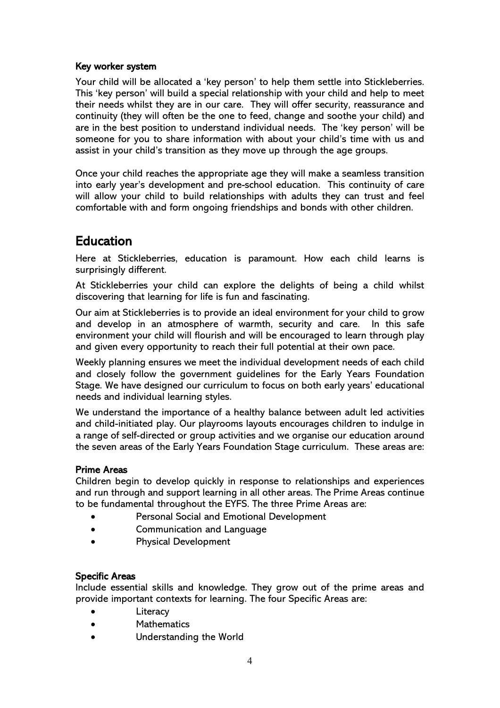### Key worker system

Your child will be allocated a 'key person' to help them settle into Stickleberries. This 'key person' will build a special relationship with your child and help to meet their needs whilst they are in our care. They will offer security, reassurance and continuity (they will often be the one to feed, change and soothe your child) and are in the best position to understand individual needs. The 'key person' will be someone for you to share information with about your child's time with us and assist in your child's transition as they move up through the age groups.

Once your child reaches the appropriate age they will make a seamless transition into early year's development and pre-school education. This continuity of care will allow your child to build relationships with adults they can trust and feel comfortable with and form ongoing friendships and bonds with other children.

## Education

Here at Stickleberries, education is paramount. How each child learns is surprisingly different.

At Stickleberries your child can explore the delights of being a child whilst discovering that learning for life is fun and fascinating.

Our aim at Stickleberries is to provide an ideal environment for your child to grow and develop in an atmosphere of warmth, security and care. In this safe environment your child will flourish and will be encouraged to learn through play and given every opportunity to reach their full potential at their own pace.

Weekly planning ensures we meet the individual development needs of each child and closely follow the government guidelines for the Early Years Foundation Stage. We have designed our curriculum to focus on both early years' educational needs and individual learning styles.

We understand the importance of a healthy balance between adult led activities and child-initiated play. Our playrooms layouts encourages children to indulge in a range of self-directed or group activities and we organise our education around the seven areas of the Early Years Foundation Stage curriculum. These areas are:

### Prime Areas

Children begin to develop quickly in response to relationships and experiences and run through and support learning in all other areas. The Prime Areas continue to be fundamental throughout the EYFS. The three Prime Areas are:

- Personal Social and Emotional Development
- Communication and Language
- Physical Development

### Specific Areas

Include essential skills and knowledge. They grow out of the prime areas and provide important contexts for learning. The four Specific Areas are:

- **Literacy**
- **Mathematics**
- Understanding the World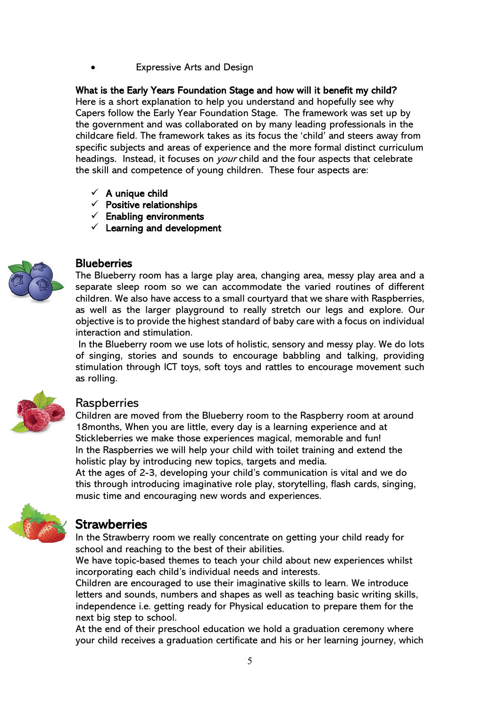**Expressive Arts and Design** 

### What is the Early Years Foundation Stage and how will it benefit my child?

Here is a short explanation to help you understand and hopefully see why Capers follow the Early Year Foundation Stage. The framework was set up by the government and was collaborated on by many leading professionals in the childcare field. The framework takes as its focus the 'child' and steers away from specific subjects and areas of experience and the more formal distinct curriculum headings. Instead, it focuses on *your* child and the four aspects that celebrate the skill and competence of young children. These four aspects are:

- $\checkmark$  A unique child
- $\checkmark$  Positive relationships
- $\checkmark$  Enabling environments
- $\checkmark$  Learning and development



### **Blueberries**

The Blueberry room has a large play area, changing area, messy play area and a separate sleep room so we can accommodate the varied routines of different children. We also have access to a small courtyard that we share with Raspberries, as well as the larger playground to really stretch our legs and explore. Our objective is to provide the highest standard of baby care with a focus on individual interaction and stimulation.

In the Blueberry room we use lots of holistic, sensory and messy play. We do lots of singing, stories and sounds to encourage babbling and talking, providing stimulation through ICT toys, soft toys and rattles to encourage movement such as rolling.



### **Raspberries**

Children are moved from the Blueberry room to the Raspberry room at around 18months. When you are little, every day is a learning experience and at Stickleberries we make those experiences magical, memorable and fun! In the Raspberries we will help your child with toilet training and extend the holistic play by introducing new topics, targets and media. At the ages of 2-3, developing your child's communication is vital and we do

this through introducing imaginative role play, storytelling, flash cards, singing, music time and encouraging new words and experiences.



**Strawberries**<br>In the Strawberry room we really concentrate on getting your child ready for school and reaching to the best of their abilities.

We have topic-based themes to teach your child about new experiences whilst incorporating each child's individual needs and interests.

Children are encouraged to use their imaginative skills to learn. We introduce letters and sounds, numbers and shapes as well as teaching basic writing skills, independence i.e. getting ready for Physical education to prepare them for the next big step to school.

At the end of their preschool education we hold a graduation ceremony where your child receives a graduation certificate and his or her learning journey, which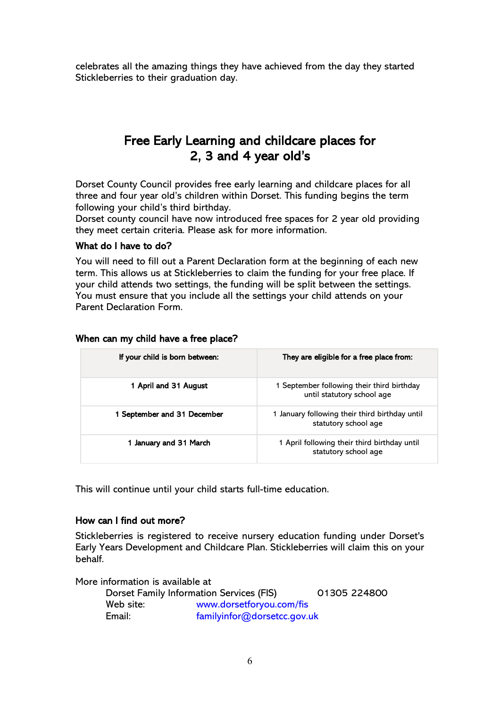celebrates all the amazing things they have achieved from the day they started Stickleberries to their graduation day.

### Free Early Learning and childcare places for 2, 3 and 4 year old's

Dorset County Council provides free early learning and childcare places for all three and four year old's children within Dorset. This funding begins the term following your child's third birthday.

Dorset county council have now introduced free spaces for 2 year old providing they meet certain criteria. Please ask for more information.

### What do I have to do?

You will need to fill out a Parent Declaration form at the beginning of each new term. This allows us at Stickleberries to claim the funding for your free place. If your child attends two settings, the funding will be split between the settings. You must ensure that you include all the settings your child attends on your Parent Declaration Form.

| If your child is born between: | They are eligible for a free place from:                                 |
|--------------------------------|--------------------------------------------------------------------------|
| 1 April and 31 August          | 1 September following their third birthday<br>until statutory school age |
| 1 September and 31 December    | 1 January following their third birthday until<br>statutory school age   |
| 1 January and 31 March         | 1 April following their third birthday until<br>statutory school age     |

### When can my child have a free place?

This will continue until your child starts full-time education.

### How can I find out more?

Stickleberries is registered to receive nursery education funding under Dorset's Early Years Development and Childcare Plan. Stickleberries will claim this on your behalf.

More information is available at

|           | Dorset Family Information Services (FIS) | 01305 224800 |
|-----------|------------------------------------------|--------------|
| Web site: | www.dorsetforyou.com/fis                 |              |
| Email:    | familyinfor@dorsetcc.gov.uk              |              |